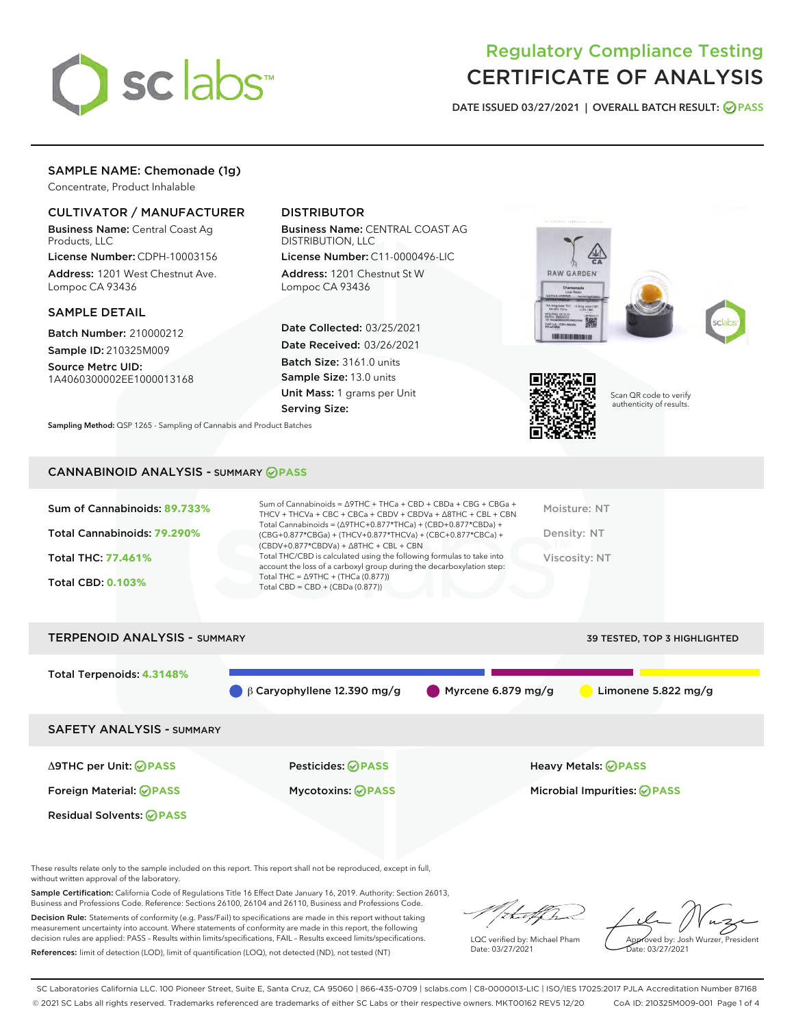

# Regulatory Compliance Testing CERTIFICATE OF ANALYSIS

DATE ISSUED 03/27/2021 | OVERALL BATCH RESULT: @ PASS

# SAMPLE NAME: Chemonade (1g)

Concentrate, Product Inhalable

# CULTIVATOR / MANUFACTURER

Business Name: Central Coast Ag Products, LLC

License Number: CDPH-10003156 Address: 1201 West Chestnut Ave. Lompoc CA 93436

## SAMPLE DETAIL

Batch Number: 210000212 Sample ID: 210325M009

Source Metrc UID: 1A4060300002EE1000013168

# DISTRIBUTOR

Business Name: CENTRAL COAST AG DISTRIBUTION, LLC

License Number: C11-0000496-LIC Address: 1201 Chestnut St W Lompoc CA 93436

Date Collected: 03/25/2021 Date Received: 03/26/2021 Batch Size: 3161.0 units Sample Size: 13.0 units Unit Mass: 1 grams per Unit Serving Size:





Scan QR code to verify authenticity of results.

CANNABINOID ANALYSIS - SUMMARY **PASS**

Sampling Method: QSP 1265 - Sampling of Cannabis and Product Batches

| Sum of Cannabinoids: 89.733% | Sum of Cannabinoids = $\triangle$ 9THC + THCa + CBD + CBDa + CBG + CBGa +<br>THCV + THCVa + CBC + CBCa + CBDV + CBDVa + $\Delta$ 8THC + CBL + CBN                                    | Moisture: NT  |
|------------------------------|--------------------------------------------------------------------------------------------------------------------------------------------------------------------------------------|---------------|
| Total Cannabinoids: 79.290%  | Total Cannabinoids = $(\Delta$ 9THC+0.877*THCa) + (CBD+0.877*CBDa) +<br>(CBG+0.877*CBGa) + (THCV+0.877*THCVa) + (CBC+0.877*CBCa) +<br>$(CBDV+0.877*CBDVa) + \Delta 8THC + CBL + CBN$ | Density: NT   |
| <b>Total THC: 77.461%</b>    | Total THC/CBD is calculated using the following formulas to take into<br>account the loss of a carboxyl group during the decarboxylation step:                                       | Viscosity: NT |
| <b>Total CBD: 0.103%</b>     | Total THC = $\triangle$ 9THC + (THCa (0.877))<br>Total CBD = $CBD + (CBDa (0.877))$                                                                                                  |               |
|                              |                                                                                                                                                                                      |               |

| <b>TERPENOID ANALYSIS - SUMMARY</b> |                                   | 39 TESTED, TOP 3 HIGHLIGHTED              |  |
|-------------------------------------|-----------------------------------|-------------------------------------------|--|
| Total Terpenoids: 4.3148%           | $\beta$ Garyophyllene 12.390 mg/g | Myrcene 6.879 mg/g<br>Limonene 5.822 mg/g |  |
| <b>SAFETY ANALYSIS - SUMMARY</b>    |                                   |                                           |  |
| ∆9THC per Unit: ⊘PASS               | <b>Pesticides: ⊘PASS</b>          | Heavy Metals: <b>OPASS</b>                |  |
| Foreign Material: <b>⊘PASS</b>      | <b>Mycotoxins: ⊘PASS</b>          | Microbial Impurities: ⊘PASS               |  |
| <b>Residual Solvents: ⊘ PASS</b>    |                                   |                                           |  |

These results relate only to the sample included on this report. This report shall not be reproduced, except in full, without written approval of the laboratory.

Sample Certification: California Code of Regulations Title 16 Effect Date January 16, 2019. Authority: Section 26013, Business and Professions Code. Reference: Sections 26100, 26104 and 26110, Business and Professions Code.

Decision Rule: Statements of conformity (e.g. Pass/Fail) to specifications are made in this report without taking measurement uncertainty into account. Where statements of conformity are made in this report, the following decision rules are applied: PASS – Results within limits/specifications, FAIL – Results exceed limits/specifications. References: limit of detection (LOD), limit of quantification (LOQ), not detected (ND), not tested (NT)

that for

LQC verified by: Michael Pham Date: 03/27/2021

Approved by: Josh Wurzer, President Date: 03/27/2021

SC Laboratories California LLC. 100 Pioneer Street, Suite E, Santa Cruz, CA 95060 | 866-435-0709 | sclabs.com | C8-0000013-LIC | ISO/IES 17025:2017 PJLA Accreditation Number 87168 © 2021 SC Labs all rights reserved. Trademarks referenced are trademarks of either SC Labs or their respective owners. MKT00162 REV5 12/20 CoA ID: 210325M009-001 Page 1 of 4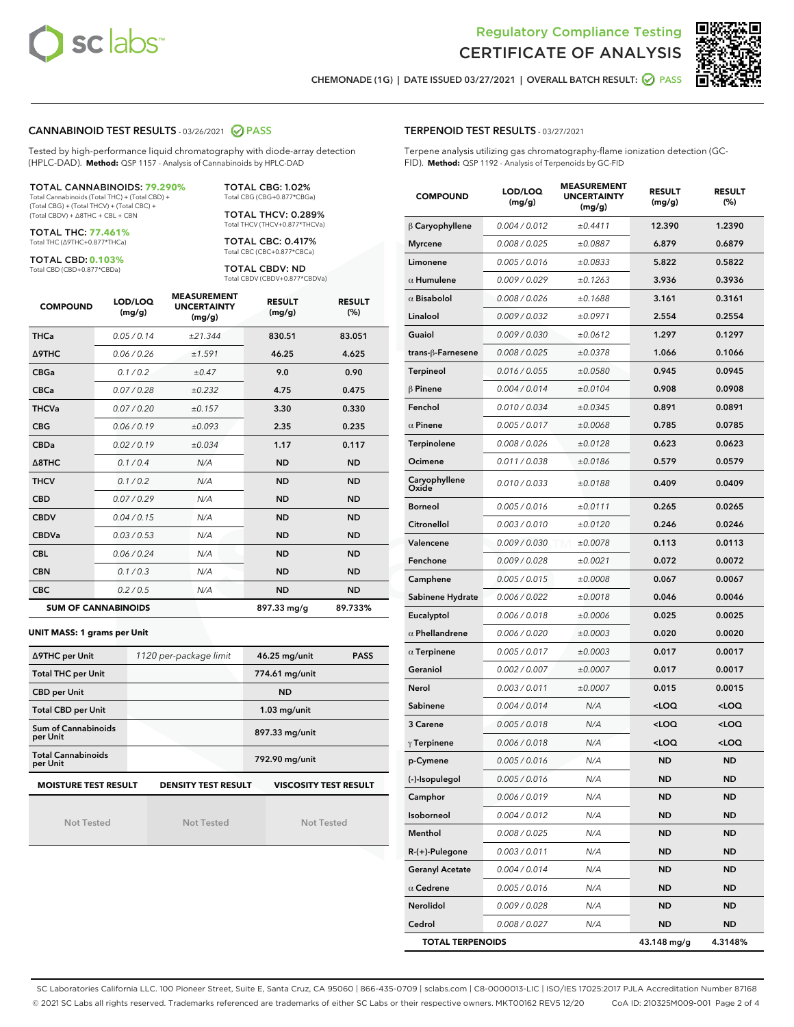



CHEMONADE (1G) | DATE ISSUED 03/27/2021 | OVERALL BATCH RESULT: @ PASS

## CANNABINOID TEST RESULTS - 03/26/2021 @ PASS

Tested by high-performance liquid chromatography with diode-array detection (HPLC-DAD). **Method:** QSP 1157 - Analysis of Cannabinoids by HPLC-DAD

#### TOTAL CANNABINOIDS: **79.290%**

Total Cannabinoids (Total THC) + (Total CBD) + (Total CBG) + (Total THCV) + (Total CBC) + (Total CBDV) + ∆8THC + CBL + CBN

TOTAL THC: **77.461%** Total THC (∆9THC+0.877\*THCa)

TOTAL CBD: **0.103%**

Total CBD (CBD+0.877\*CBDa)

TOTAL CBG: 1.02% Total CBG (CBG+0.877\*CBGa)

TOTAL THCV: 0.289% Total THCV (THCV+0.877\*THCVa)

TOTAL CBC: 0.417% Total CBC (CBC+0.877\*CBCa)

TOTAL CBDV: ND Total CBDV (CBDV+0.877\*CBDVa)

| <b>COMPOUND</b>  | LOD/LOQ<br>(mg/g)          | <b>MEASUREMENT</b><br><b>UNCERTAINTY</b><br>(mg/g) | <b>RESULT</b><br>(mg/g) | <b>RESULT</b><br>(%) |
|------------------|----------------------------|----------------------------------------------------|-------------------------|----------------------|
| <b>THCa</b>      | 0.05 / 0.14                | ±21.344                                            | 830.51                  | 83.051               |
| Δ9THC            | 0.06 / 0.26                | ±1.591                                             | 46.25                   | 4.625                |
| <b>CBGa</b>      | 0.1/0.2                    | $\pm 0.47$                                         | 9.0                     | 0.90                 |
| <b>CBCa</b>      | 0.07 / 0.28                | ±0.232                                             | 4.75                    | 0.475                |
| <b>THCVa</b>     | 0.07/0.20                  | ±0.157                                             | 3.30                    | 0.330                |
| <b>CBG</b>       | 0.06/0.19                  | ±0.093                                             | 2.35                    | 0.235                |
| <b>CBDa</b>      | 0.02/0.19                  | ±0.034                                             | 1.17                    | 0.117                |
| $\triangle$ 8THC | 0.1/0.4                    | N/A                                                | <b>ND</b>               | <b>ND</b>            |
| <b>THCV</b>      | 0.1/0.2                    | N/A                                                | <b>ND</b>               | <b>ND</b>            |
| <b>CBD</b>       | 0.07/0.29                  | N/A                                                | <b>ND</b>               | <b>ND</b>            |
| <b>CBDV</b>      | 0.04 / 0.15                | N/A                                                | <b>ND</b>               | <b>ND</b>            |
| <b>CBDVa</b>     | 0.03/0.53                  | N/A                                                | <b>ND</b>               | <b>ND</b>            |
| <b>CBL</b>       | 0.06 / 0.24                | N/A                                                | <b>ND</b>               | <b>ND</b>            |
| <b>CBN</b>       | 0.1/0.3                    | N/A                                                | <b>ND</b>               | <b>ND</b>            |
| <b>CBC</b>       | 0.2 / 0.5                  | N/A                                                | <b>ND</b>               | <b>ND</b>            |
|                  | <b>SUM OF CANNABINOIDS</b> |                                                    | 897.33 mg/g             | 89.733%              |

#### **UNIT MASS: 1 grams per Unit**

| ∆9THC per Unit                        | 1120 per-package limit | 46.25 mg/unit<br><b>PASS</b> |
|---------------------------------------|------------------------|------------------------------|
| <b>Total THC per Unit</b>             |                        | 774.61 mg/unit               |
| <b>CBD per Unit</b>                   |                        | <b>ND</b>                    |
| <b>Total CBD per Unit</b>             |                        | $1.03$ mg/unit               |
| Sum of Cannabinoids<br>per Unit       |                        | 897.33 mg/unit               |
| <b>Total Cannabinoids</b><br>per Unit |                        | 792.90 mg/unit               |
| <b>MOISTURE TEST RESULT</b>           | DENSITY TEST RESULT    | <b>VISCOSITY TEST RESULT</b> |

Not Tested

Not Tested

Not Tested

#### TERPENOID TEST RESULTS - 03/27/2021

Terpene analysis utilizing gas chromatography-flame ionization detection (GC-FID). **Method:** QSP 1192 - Analysis of Terpenoids by GC-FID

| <b>COMPOUND</b>         | LOD/LOQ<br>(mg/g) | <b>MEASUREMENT</b><br><b>UNCERTAINTY</b><br>(mg/g) | <b>RESULT</b><br>(mg/g)                         | <b>RESULT</b><br>$(\%)$ |
|-------------------------|-------------------|----------------------------------------------------|-------------------------------------------------|-------------------------|
| $\beta$ Caryophyllene   | 0.004 / 0.012     | ±0.4411                                            | 12.390                                          | 1.2390                  |
| <b>Myrcene</b>          | 0.008 / 0.025     | ±0.0887                                            | 6.879                                           | 0.6879                  |
| Limonene                | 0.005 / 0.016     | ±0.0833                                            | 5.822                                           | 0.5822                  |
| $\alpha$ Humulene       | 0.009 / 0.029     | ±0.1263                                            | 3.936                                           | 0.3936                  |
| $\alpha$ Bisabolol      | 0.008 / 0.026     | ±0.1688                                            | 3.161                                           | 0.3161                  |
| Linalool                | 0.009/0.032       | ±0.0971                                            | 2.554                                           | 0.2554                  |
| Guaiol                  | 0.009 / 0.030     | ±0.0612                                            | 1.297                                           | 0.1297                  |
| trans-β-Farnesene       | 0.008 / 0.025     | ±0.0378                                            | 1.066                                           | 0.1066                  |
| Terpineol               | 0.016 / 0.055     | ±0.0580                                            | 0.945                                           | 0.0945                  |
| $\beta$ Pinene          | 0.004 / 0.014     | ±0.0104                                            | 0.908                                           | 0.0908                  |
| Fenchol                 | 0.010 / 0.034     | ±0.0345                                            | 0.891                                           | 0.0891                  |
| $\alpha$ Pinene         | 0.005 / 0.017     | ±0.0068                                            | 0.785                                           | 0.0785                  |
| Terpinolene             | 0.008 / 0.026     | ±0.0128                                            | 0.623                                           | 0.0623                  |
| Ocimene                 | 0.011 / 0.038     | ±0.0186                                            | 0.579                                           | 0.0579                  |
| Caryophyllene<br>Oxide  | 0.010 / 0.033     | ±0.0188                                            | 0.409                                           | 0.0409                  |
| <b>Borneol</b>          | 0.005 / 0.016     | ±0.0111                                            | 0.265                                           | 0.0265                  |
| Citronellol             | 0.003 / 0.010     | ±0.0120                                            | 0.246                                           | 0.0246                  |
| Valencene               | 0.009 / 0.030     | ±0.0078                                            | 0.113                                           | 0.0113                  |
| Fenchone                | 0.009 / 0.028     | ±0.0021                                            | 0.072                                           | 0.0072                  |
| Camphene                | 0.005 / 0.015     | ±0.0008                                            | 0.067                                           | 0.0067                  |
| Sabinene Hydrate        | 0.006 / 0.022     | ±0.0018                                            | 0.046                                           | 0.0046                  |
| Eucalyptol              | 0.006 / 0.018     | ±0.0006                                            | 0.025                                           | 0.0025                  |
| $\alpha$ Phellandrene   | 0.006 / 0.020     | ±0.0003                                            | 0.020                                           | 0.0020                  |
| $\alpha$ Terpinene      | 0.005 / 0.017     | ±0.0003                                            | 0.017                                           | 0.0017                  |
| Geraniol                | 0.002 / 0.007     | ±0.0007                                            | 0.017                                           | 0.0017                  |
| Nerol                   | 0.003 / 0.011     | ±0.0007                                            | 0.015                                           | 0.0015                  |
| Sabinene                | 0.004/0.014       | N/A                                                | <loq< th=""><th><loq< th=""></loq<></th></loq<> | <loq< th=""></loq<>     |
| 3 Carene                | 0.005 / 0.018     | N/A                                                | <loq< th=""><th><loq< th=""></loq<></th></loq<> | <loq< th=""></loq<>     |
| $\gamma$ Terpinene      | 0.006 / 0.018     | N/A                                                | <loq< th=""><th><loq< th=""></loq<></th></loq<> | <loq< th=""></loq<>     |
| p-Cymene                | 0.005 / 0.016     | N/A                                                | <b>ND</b>                                       | <b>ND</b>               |
| (-)-Isopulegol          | 0.005 / 0.016     | N/A                                                | ND                                              | ND                      |
| Camphor                 | 0.006 / 0.019     | N/A                                                | ND                                              | ND                      |
| Isoborneol              | 0.004 / 0.012     | N/A                                                | ND                                              | ND                      |
| Menthol                 | 0.008 / 0.025     | N/A                                                | ND                                              | ND                      |
| R-(+)-Pulegone          | 0.003 / 0.011     | N/A                                                | ND                                              | ND                      |
| <b>Geranyl Acetate</b>  | 0.004 / 0.014     | N/A                                                | ND                                              | ND                      |
| $\alpha$ Cedrene        | 0.005 / 0.016     | N/A                                                | ND                                              | ND                      |
| Nerolidol               | 0.009 / 0.028     | N/A                                                | ND                                              | ND                      |
| Cedrol                  | 0.008 / 0.027     | N/A                                                | ND                                              | <b>ND</b>               |
| <b>TOTAL TERPENOIDS</b> |                   |                                                    | 43.148 mg/g                                     | 4.3148%                 |

SC Laboratories California LLC. 100 Pioneer Street, Suite E, Santa Cruz, CA 95060 | 866-435-0709 | sclabs.com | C8-0000013-LIC | ISO/IES 17025:2017 PJLA Accreditation Number 87168 © 2021 SC Labs all rights reserved. Trademarks referenced are trademarks of either SC Labs or their respective owners. MKT00162 REV5 12/20 CoA ID: 210325M009-001 Page 2 of 4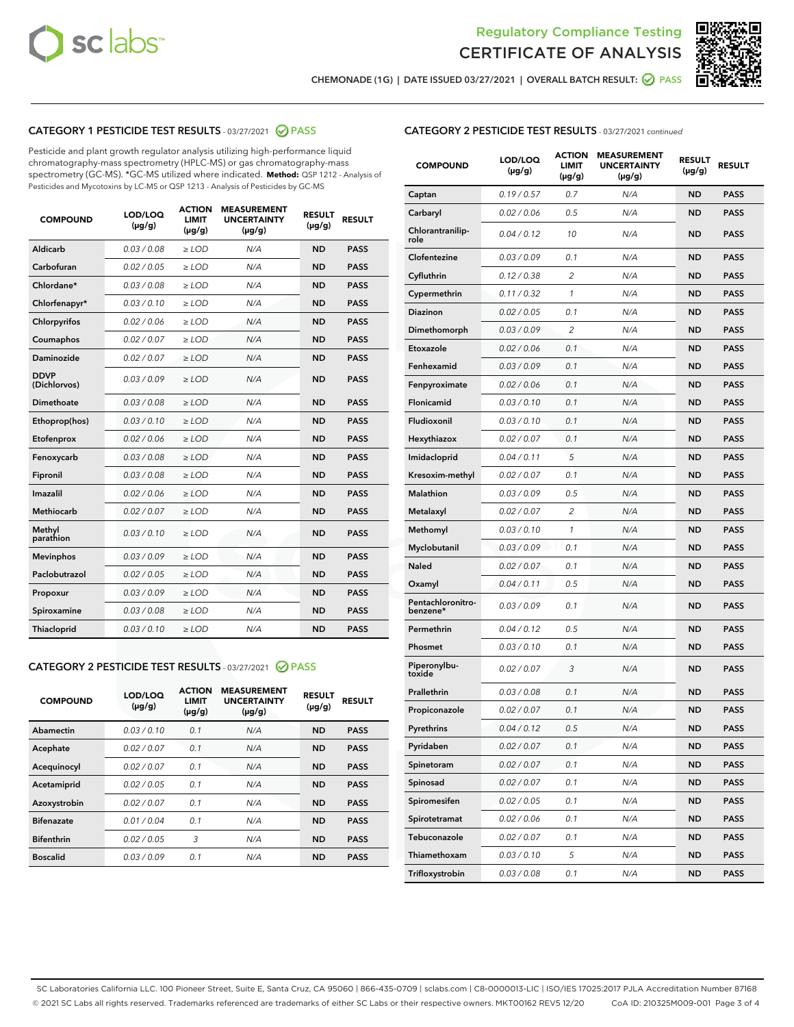



CHEMONADE (1G) | DATE ISSUED 03/27/2021 | OVERALL BATCH RESULT:  $\bigcirc$  PASS

# CATEGORY 1 PESTICIDE TEST RESULTS - 03/27/2021 2 PASS

Pesticide and plant growth regulator analysis utilizing high-performance liquid chromatography-mass spectrometry (HPLC-MS) or gas chromatography-mass spectrometry (GC-MS). \*GC-MS utilized where indicated. **Method:** QSP 1212 - Analysis of Pesticides and Mycotoxins by LC-MS or QSP 1213 - Analysis of Pesticides by GC-MS

| <b>COMPOUND</b>             | LOD/LOQ<br>$(\mu g/g)$ | <b>ACTION</b><br>LIMIT<br>$(\mu g/g)$ | <b>MEASUREMENT</b><br><b>UNCERTAINTY</b><br>$(\mu g/g)$ | <b>RESULT</b><br>$(\mu g/g)$ | <b>RESULT</b> |
|-----------------------------|------------------------|---------------------------------------|---------------------------------------------------------|------------------------------|---------------|
| Aldicarb                    | 0.03 / 0.08            | $\ge$ LOD                             | N/A                                                     | <b>ND</b>                    | <b>PASS</b>   |
| Carbofuran                  | 0.02 / 0.05            | $\geq$ LOD                            | N/A                                                     | <b>ND</b>                    | <b>PASS</b>   |
| Chlordane*                  | 0.03 / 0.08            | $\geq$ LOD                            | N/A                                                     | <b>ND</b>                    | <b>PASS</b>   |
| Chlorfenapyr*               | 0.03/0.10              | $\ge$ LOD                             | N/A                                                     | <b>ND</b>                    | <b>PASS</b>   |
| Chlorpyrifos                | 0.02 / 0.06            | $\geq$ LOD                            | N/A                                                     | <b>ND</b>                    | <b>PASS</b>   |
| Coumaphos                   | 0.02 / 0.07            | $\ge$ LOD                             | N/A                                                     | <b>ND</b>                    | <b>PASS</b>   |
| Daminozide                  | 0.02/0.07              | $\ge$ LOD                             | N/A                                                     | <b>ND</b>                    | <b>PASS</b>   |
| <b>DDVP</b><br>(Dichlorvos) | 0.03/0.09              | $\ge$ LOD                             | N/A                                                     | <b>ND</b>                    | <b>PASS</b>   |
| Dimethoate                  | 0.03 / 0.08            | $>$ LOD                               | N/A                                                     | <b>ND</b>                    | <b>PASS</b>   |
| Ethoprop(hos)               | 0.03/0.10              | $\ge$ LOD                             | N/A                                                     | <b>ND</b>                    | <b>PASS</b>   |
| Etofenprox                  | 0.02/0.06              | $>$ LOD                               | N/A                                                     | <b>ND</b>                    | <b>PASS</b>   |
| Fenoxycarb                  | 0.03/0.08              | $>$ LOD                               | N/A                                                     | <b>ND</b>                    | <b>PASS</b>   |
| Fipronil                    | 0.03 / 0.08            | $>$ LOD                               | N/A                                                     | <b>ND</b>                    | <b>PASS</b>   |
| Imazalil                    | 0.02/0.06              | $>$ LOD                               | N/A                                                     | <b>ND</b>                    | <b>PASS</b>   |
| <b>Methiocarb</b>           | 0.02 / 0.07            | $\ge$ LOD                             | N/A                                                     | <b>ND</b>                    | <b>PASS</b>   |
| Methyl<br>parathion         | 0.03/0.10              | $\ge$ LOD                             | N/A                                                     | <b>ND</b>                    | <b>PASS</b>   |
| <b>Mevinphos</b>            | 0.03/0.09              | $\ge$ LOD                             | N/A                                                     | <b>ND</b>                    | <b>PASS</b>   |
| Paclobutrazol               | 0.02 / 0.05            | $\ge$ LOD                             | N/A                                                     | <b>ND</b>                    | <b>PASS</b>   |
| Propoxur                    | 0.03 / 0.09            | $\ge$ LOD                             | N/A                                                     | <b>ND</b>                    | <b>PASS</b>   |
| Spiroxamine                 | 0.03 / 0.08            | $\ge$ LOD                             | N/A                                                     | <b>ND</b>                    | <b>PASS</b>   |
| Thiacloprid                 | 0.03/0.10              | $\ge$ LOD                             | N/A                                                     | <b>ND</b>                    | <b>PASS</b>   |

## CATEGORY 2 PESTICIDE TEST RESULTS - 03/27/2021 @ PASS

| <b>COMPOUND</b>   | LOD/LOQ<br>$(\mu g/g)$ | <b>ACTION</b><br><b>LIMIT</b><br>$(\mu g/g)$ | <b>MEASUREMENT</b><br><b>UNCERTAINTY</b><br>$(\mu g/g)$ | <b>RESULT</b><br>$(\mu g/g)$ | <b>RESULT</b> |
|-------------------|------------------------|----------------------------------------------|---------------------------------------------------------|------------------------------|---------------|
| Abamectin         | 0.03/0.10              | 0.1                                          | N/A                                                     | <b>ND</b>                    | <b>PASS</b>   |
| Acephate          | 0.02/0.07              | 0.1                                          | N/A                                                     | <b>ND</b>                    | <b>PASS</b>   |
| Acequinocyl       | 0.02/0.07              | 0.1                                          | N/A                                                     | <b>ND</b>                    | <b>PASS</b>   |
| Acetamiprid       | 0.02/0.05              | 0.1                                          | N/A                                                     | <b>ND</b>                    | <b>PASS</b>   |
| Azoxystrobin      | 0.02/0.07              | 0.1                                          | N/A                                                     | <b>ND</b>                    | <b>PASS</b>   |
| <b>Bifenazate</b> | 0.01/0.04              | 0.1                                          | N/A                                                     | <b>ND</b>                    | <b>PASS</b>   |
| <b>Bifenthrin</b> | 0.02/0.05              | 3                                            | N/A                                                     | <b>ND</b>                    | <b>PASS</b>   |
| <b>Boscalid</b>   | 0.03/0.09              | 0.1                                          | N/A                                                     | <b>ND</b>                    | <b>PASS</b>   |

| <b>CATEGORY 2 PESTICIDE TEST RESULTS</b> - 03/27/2021 continued |  |
|-----------------------------------------------------------------|--|
|                                                                 |  |

| <b>COMPOUND</b>               | LOD/LOQ<br>(µg/g) | <b>ACTION</b><br>LIMIT<br>(µg/g) | <b>MEASUREMENT</b><br><b>UNCERTAINTY</b><br>(µg/g) | <b>RESULT</b><br>(µg/g) | <b>RESULT</b> |
|-------------------------------|-------------------|----------------------------------|----------------------------------------------------|-------------------------|---------------|
| Captan                        | 0.19 / 0.57       | 0.7                              | N/A                                                | <b>ND</b>               | <b>PASS</b>   |
| Carbaryl                      | 0.02 / 0.06       | 0.5                              | N/A                                                | <b>ND</b>               | <b>PASS</b>   |
| Chlorantranilip-<br>role      | 0.04 / 0.12       | 10                               | N/A                                                | <b>ND</b>               | <b>PASS</b>   |
| Clofentezine                  | 0.03 / 0.09       | 0.1                              | N/A                                                | <b>ND</b>               | <b>PASS</b>   |
| Cyfluthrin                    | 0.12 / 0.38       | 2                                | N/A                                                | ND                      | <b>PASS</b>   |
| Cypermethrin                  | 0.11/0.32         | 1                                | N/A                                                | ND                      | <b>PASS</b>   |
| <b>Diazinon</b>               | 0.02 / 0.05       | 0.1                              | N/A                                                | <b>ND</b>               | <b>PASS</b>   |
| Dimethomorph                  | 0.03 / 0.09       | 2                                | N/A                                                | ND                      | <b>PASS</b>   |
| Etoxazole                     | 0.02 / 0.06       | 0.1                              | N/A                                                | ND                      | <b>PASS</b>   |
| Fenhexamid                    | 0.03/0.09         | 0.1                              | N/A                                                | <b>ND</b>               | <b>PASS</b>   |
| Fenpyroximate                 | 0.02 / 0.06       | 0.1                              | N/A                                                | ND                      | <b>PASS</b>   |
| Flonicamid                    | 0.03 / 0.10       | 0.1                              | N/A                                                | ND                      | <b>PASS</b>   |
| Fludioxonil                   | 0.03/0.10         | 0.1                              | N/A                                                | <b>ND</b>               | PASS          |
| Hexythiazox                   | 0.02 / 0.07       | 0.1                              | N/A                                                | ND                      | <b>PASS</b>   |
| Imidacloprid                  | 0.04 / 0.11       | 5                                | N/A                                                | ND                      | <b>PASS</b>   |
| Kresoxim-methyl               | 0.02 / 0.07       | 0.1                              | N/A                                                | <b>ND</b>               | <b>PASS</b>   |
| <b>Malathion</b>              | 0.03/0.09         | 0.5                              | N/A                                                | ND                      | <b>PASS</b>   |
| Metalaxyl                     | 0.02 / 0.07       | 2                                | N/A                                                | ND                      | <b>PASS</b>   |
| Methomyl                      | 0.03/0.10         | 1                                | N/A                                                | <b>ND</b>               | PASS          |
| Myclobutanil                  | 0.03 / 0.09       | 0.1                              | N/A                                                | ND                      | <b>PASS</b>   |
| Naled                         | 0.02 / 0.07       | 0.1                              | N/A                                                | ND                      | <b>PASS</b>   |
| Oxamyl                        | 0.04 / 0.11       | 0.5                              | N/A                                                | <b>ND</b>               | PASS          |
| Pentachloronitro-<br>benzene* | 0.03 / 0.09       | 0.1                              | N/A                                                | ND                      | PASS          |
| Permethrin                    | 0.04 / 0.12       | 0.5                              | N/A                                                | ND                      | <b>PASS</b>   |
| Phosmet                       | 0.03/0.10         | 0.1                              | N/A                                                | <b>ND</b>               | <b>PASS</b>   |
| Piperonylbu-<br>toxide        | 0.02 / 0.07       | 3                                | N/A                                                | ND                      | <b>PASS</b>   |
| Prallethrin                   | 0.03 / 0.08       | 0.1                              | N/A                                                | ND                      | <b>PASS</b>   |
| Propiconazole                 | 0.02 / 0.07       | 0.1                              | N/A                                                | ND                      | <b>PASS</b>   |
| Pyrethrins                    | 0.04 / 0.12       | 0.5                              | N/A                                                | ND                      | PASS          |
| Pyridaben                     | 0.02 / 0.07       | 0.1                              | N/A                                                | ND                      | PASS          |
| Spinetoram                    | 0.02 / 0.07       | 0.1                              | N/A                                                | ND                      | <b>PASS</b>   |
| Spinosad                      | 0.02 / 0.07       | 0.1                              | N/A                                                | ND                      | <b>PASS</b>   |
| Spiromesifen                  | 0.02 / 0.05       | 0.1                              | N/A                                                | ND                      | <b>PASS</b>   |
| Spirotetramat                 | 0.02 / 0.06       | 0.1                              | N/A                                                | <b>ND</b>               | <b>PASS</b>   |
| Tebuconazole                  | 0.02 / 0.07       | 0.1                              | N/A                                                | ND                      | <b>PASS</b>   |
| Thiamethoxam                  | 0.03 / 0.10       | 5                                | N/A                                                | <b>ND</b>               | <b>PASS</b>   |
| Trifloxystrobin               | 0.03 / 0.08       | 0.1                              | N/A                                                | ND                      | <b>PASS</b>   |